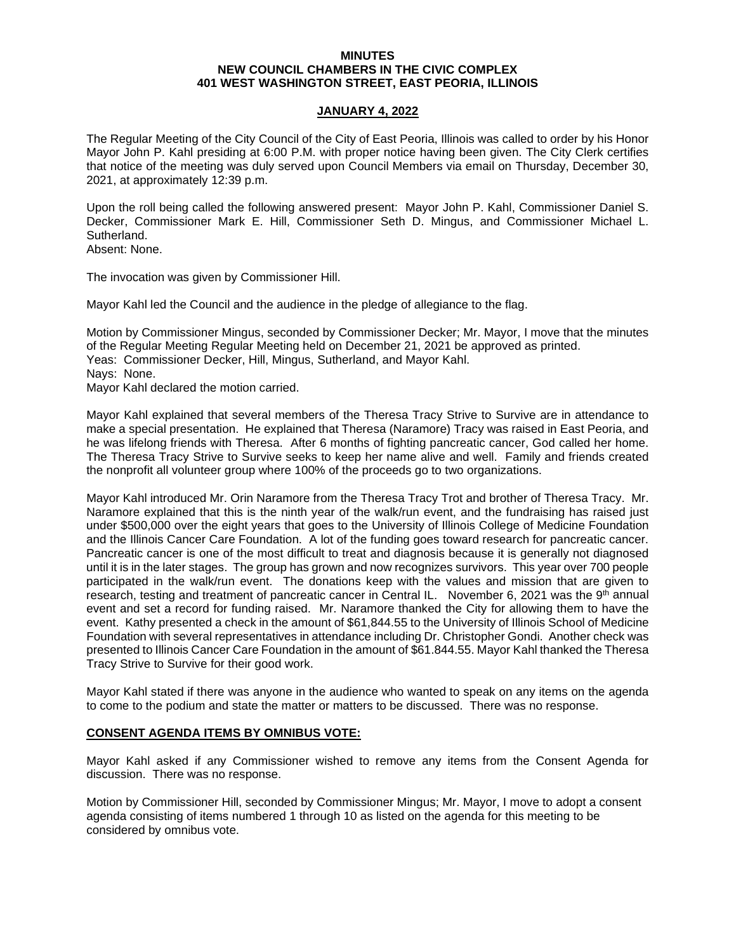### **MINUTES NEW COUNCIL CHAMBERS IN THE CIVIC COMPLEX 401 WEST WASHINGTON STREET, EAST PEORIA, ILLINOIS**

# **JANUARY 4, 2022**

The Regular Meeting of the City Council of the City of East Peoria, Illinois was called to order by his Honor Mayor John P. Kahl presiding at 6:00 P.M. with proper notice having been given. The City Clerk certifies that notice of the meeting was duly served upon Council Members via email on Thursday, December 30, 2021, at approximately 12:39 p.m.

Upon the roll being called the following answered present: Mayor John P. Kahl, Commissioner Daniel S. Decker, Commissioner Mark E. Hill, Commissioner Seth D. Mingus, and Commissioner Michael L. Sutherland.

Absent: None.

The invocation was given by Commissioner Hill.

Mayor Kahl led the Council and the audience in the pledge of allegiance to the flag.

Motion by Commissioner Mingus, seconded by Commissioner Decker; Mr. Mayor, I move that the minutes of the Regular Meeting Regular Meeting held on December 21, 2021 be approved as printed. Yeas: Commissioner Decker, Hill, Mingus, Sutherland, and Mayor Kahl. Nays: None. Mayor Kahl declared the motion carried.

Mayor Kahl explained that several members of the Theresa Tracy Strive to Survive are in attendance to make a special presentation. He explained that Theresa (Naramore) Tracy was raised in East Peoria, and he was lifelong friends with Theresa. After 6 months of fighting pancreatic cancer, God called her home. The Theresa Tracy Strive to Survive seeks to keep her name alive and well. Family and friends created the nonprofit all volunteer group where 100% of the proceeds go to two organizations.

Mayor Kahl introduced Mr. Orin Naramore from the Theresa Tracy Trot and brother of Theresa Tracy. Mr. Naramore explained that this is the ninth year of the walk/run event, and the fundraising has raised just under \$500,000 over the eight years that goes to the University of Illinois College of Medicine Foundation and the Illinois Cancer Care Foundation. A lot of the funding goes toward research for pancreatic cancer. Pancreatic cancer is one of the most difficult to treat and diagnosis because it is generally not diagnosed until it is in the later stages. The group has grown and now recognizes survivors. This year over 700 people participated in the walk/run event. The donations keep with the values and mission that are given to research, testing and treatment of pancreatic cancer in Central IL. November 6, 2021 was the 9th annual event and set a record for funding raised. Mr. Naramore thanked the City for allowing them to have the event. Kathy presented a check in the amount of \$61,844.55 to the University of Illinois School of Medicine Foundation with several representatives in attendance including Dr. Christopher Gondi. Another check was presented to Illinois Cancer Care Foundation in the amount of \$61.844.55. Mayor Kahl thanked the Theresa Tracy Strive to Survive for their good work.

Mayor Kahl stated if there was anyone in the audience who wanted to speak on any items on the agenda to come to the podium and state the matter or matters to be discussed. There was no response.

# **CONSENT AGENDA ITEMS BY OMNIBUS VOTE:**

Mayor Kahl asked if any Commissioner wished to remove any items from the Consent Agenda for discussion. There was no response.

Motion by Commissioner Hill, seconded by Commissioner Mingus; Mr. Mayor, I move to adopt a consent agenda consisting of items numbered 1 through 10 as listed on the agenda for this meeting to be considered by omnibus vote.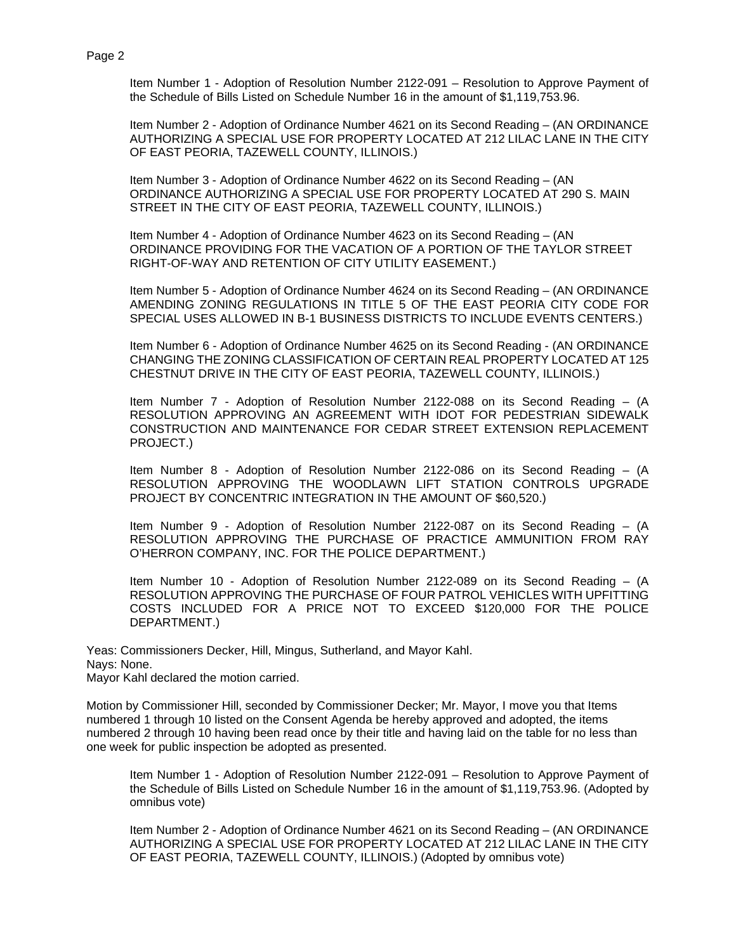Item Number 1 - Adoption of Resolution Number 2122-091 – Resolution to Approve Payment of the Schedule of Bills Listed on Schedule Number 16 in the amount of \$1,119,753.96.

Item Number 2 - Adoption of Ordinance Number 4621 on its Second Reading – (AN ORDINANCE AUTHORIZING A SPECIAL USE FOR PROPERTY LOCATED AT 212 LILAC LANE IN THE CITY OF EAST PEORIA, TAZEWELL COUNTY, ILLINOIS.)

Item Number 3 - Adoption of Ordinance Number 4622 on its Second Reading – (AN ORDINANCE AUTHORIZING A SPECIAL USE FOR PROPERTY LOCATED AT 290 S. MAIN STREET IN THE CITY OF EAST PEORIA, TAZEWELL COUNTY, ILLINOIS.)

Item Number 4 - Adoption of Ordinance Number 4623 on its Second Reading – (AN ORDINANCE PROVIDING FOR THE VACATION OF A PORTION OF THE TAYLOR STREET RIGHT-OF-WAY AND RETENTION OF CITY UTILITY EASEMENT.)

Item Number 5 - Adoption of Ordinance Number 4624 on its Second Reading – (AN ORDINANCE AMENDING ZONING REGULATIONS IN TITLE 5 OF THE EAST PEORIA CITY CODE FOR SPECIAL USES ALLOWED IN B-1 BUSINESS DISTRICTS TO INCLUDE EVENTS CENTERS.)

Item Number 6 - Adoption of Ordinance Number 4625 on its Second Reading - (AN ORDINANCE CHANGING THE ZONING CLASSIFICATION OF CERTAIN REAL PROPERTY LOCATED AT 125 CHESTNUT DRIVE IN THE CITY OF EAST PEORIA, TAZEWELL COUNTY, ILLINOIS.)

Item Number 7 - Adoption of Resolution Number 2122-088 on its Second Reading – (A RESOLUTION APPROVING AN AGREEMENT WITH IDOT FOR PEDESTRIAN SIDEWALK CONSTRUCTION AND MAINTENANCE FOR CEDAR STREET EXTENSION REPLACEMENT PROJECT.)

Item Number 8 - Adoption of Resolution Number 2122-086 on its Second Reading – (A RESOLUTION APPROVING THE WOODLAWN LIFT STATION CONTROLS UPGRADE PROJECT BY CONCENTRIC INTEGRATION IN THE AMOUNT OF \$60,520.)

Item Number 9 - Adoption of Resolution Number 2122-087 on its Second Reading – (A RESOLUTION APPROVING THE PURCHASE OF PRACTICE AMMUNITION FROM RAY O'HERRON COMPANY, INC. FOR THE POLICE DEPARTMENT.)

Item Number 10 - Adoption of Resolution Number 2122-089 on its Second Reading – (A RESOLUTION APPROVING THE PURCHASE OF FOUR PATROL VEHICLES WITH UPFITTING COSTS INCLUDED FOR A PRICE NOT TO EXCEED \$120,000 FOR THE POLICE DEPARTMENT.)

Yeas: Commissioners Decker, Hill, Mingus, Sutherland, and Mayor Kahl. Nays: None. Mayor Kahl declared the motion carried.

Motion by Commissioner Hill, seconded by Commissioner Decker; Mr. Mayor, I move you that Items numbered 1 through 10 listed on the Consent Agenda be hereby approved and adopted, the items numbered 2 through 10 having been read once by their title and having laid on the table for no less than one week for public inspection be adopted as presented.

Item Number 1 - Adoption of Resolution Number 2122-091 – Resolution to Approve Payment of the Schedule of Bills Listed on Schedule Number 16 in the amount of \$1,119,753.96. (Adopted by omnibus vote)

Item Number 2 - Adoption of Ordinance Number 4621 on its Second Reading – (AN ORDINANCE AUTHORIZING A SPECIAL USE FOR PROPERTY LOCATED AT 212 LILAC LANE IN THE CITY OF EAST PEORIA, TAZEWELL COUNTY, ILLINOIS.) (Adopted by omnibus vote)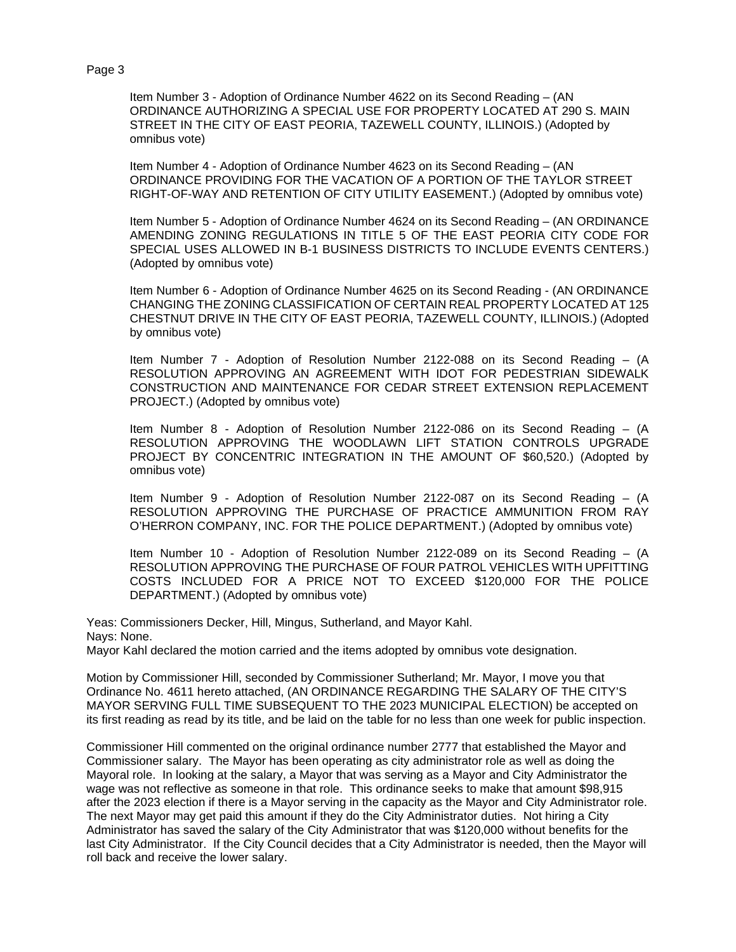#### Page 3

Item Number 3 - Adoption of Ordinance Number 4622 on its Second Reading – (AN ORDINANCE AUTHORIZING A SPECIAL USE FOR PROPERTY LOCATED AT 290 S. MAIN STREET IN THE CITY OF EAST PEORIA, TAZEWELL COUNTY, ILLINOIS.) (Adopted by omnibus vote)

Item Number 4 - Adoption of Ordinance Number 4623 on its Second Reading – (AN ORDINANCE PROVIDING FOR THE VACATION OF A PORTION OF THE TAYLOR STREET RIGHT-OF-WAY AND RETENTION OF CITY UTILITY EASEMENT.) (Adopted by omnibus vote)

Item Number 5 - Adoption of Ordinance Number 4624 on its Second Reading – (AN ORDINANCE AMENDING ZONING REGULATIONS IN TITLE 5 OF THE EAST PEORIA CITY CODE FOR SPECIAL USES ALLOWED IN B-1 BUSINESS DISTRICTS TO INCLUDE EVENTS CENTERS.) (Adopted by omnibus vote)

Item Number 6 - Adoption of Ordinance Number 4625 on its Second Reading - (AN ORDINANCE CHANGING THE ZONING CLASSIFICATION OF CERTAIN REAL PROPERTY LOCATED AT 125 CHESTNUT DRIVE IN THE CITY OF EAST PEORIA, TAZEWELL COUNTY, ILLINOIS.) (Adopted by omnibus vote)

Item Number 7 - Adoption of Resolution Number 2122-088 on its Second Reading – (A RESOLUTION APPROVING AN AGREEMENT WITH IDOT FOR PEDESTRIAN SIDEWALK CONSTRUCTION AND MAINTENANCE FOR CEDAR STREET EXTENSION REPLACEMENT PROJECT.) (Adopted by omnibus vote)

Item Number 8 - Adoption of Resolution Number 2122-086 on its Second Reading – (A RESOLUTION APPROVING THE WOODLAWN LIFT STATION CONTROLS UPGRADE PROJECT BY CONCENTRIC INTEGRATION IN THE AMOUNT OF \$60,520.) (Adopted by omnibus vote)

Item Number 9 - Adoption of Resolution Number 2122-087 on its Second Reading – (A RESOLUTION APPROVING THE PURCHASE OF PRACTICE AMMUNITION FROM RAY O'HERRON COMPANY, INC. FOR THE POLICE DEPARTMENT.) (Adopted by omnibus vote)

Item Number 10 - Adoption of Resolution Number 2122-089 on its Second Reading – (A RESOLUTION APPROVING THE PURCHASE OF FOUR PATROL VEHICLES WITH UPFITTING COSTS INCLUDED FOR A PRICE NOT TO EXCEED \$120,000 FOR THE POLICE DEPARTMENT.) (Adopted by omnibus vote)

Yeas: Commissioners Decker, Hill, Mingus, Sutherland, and Mayor Kahl. Nays: None. Mayor Kahl declared the motion carried and the items adopted by omnibus vote designation.

Motion by Commissioner Hill, seconded by Commissioner Sutherland; Mr. Mayor, I move you that Ordinance No. 4611 hereto attached, (AN ORDINANCE REGARDING THE SALARY OF THE CITY'S MAYOR SERVING FULL TIME SUBSEQUENT TO THE 2023 MUNICIPAL ELECTION) be accepted on its first reading as read by its title, and be laid on the table for no less than one week for public inspection.

Commissioner Hill commented on the original ordinance number 2777 that established the Mayor and Commissioner salary. The Mayor has been operating as city administrator role as well as doing the Mayoral role. In looking at the salary, a Mayor that was serving as a Mayor and City Administrator the wage was not reflective as someone in that role. This ordinance seeks to make that amount \$98,915 after the 2023 election if there is a Mayor serving in the capacity as the Mayor and City Administrator role. The next Mayor may get paid this amount if they do the City Administrator duties. Not hiring a City Administrator has saved the salary of the City Administrator that was \$120,000 without benefits for the last City Administrator. If the City Council decides that a City Administrator is needed, then the Mayor will roll back and receive the lower salary.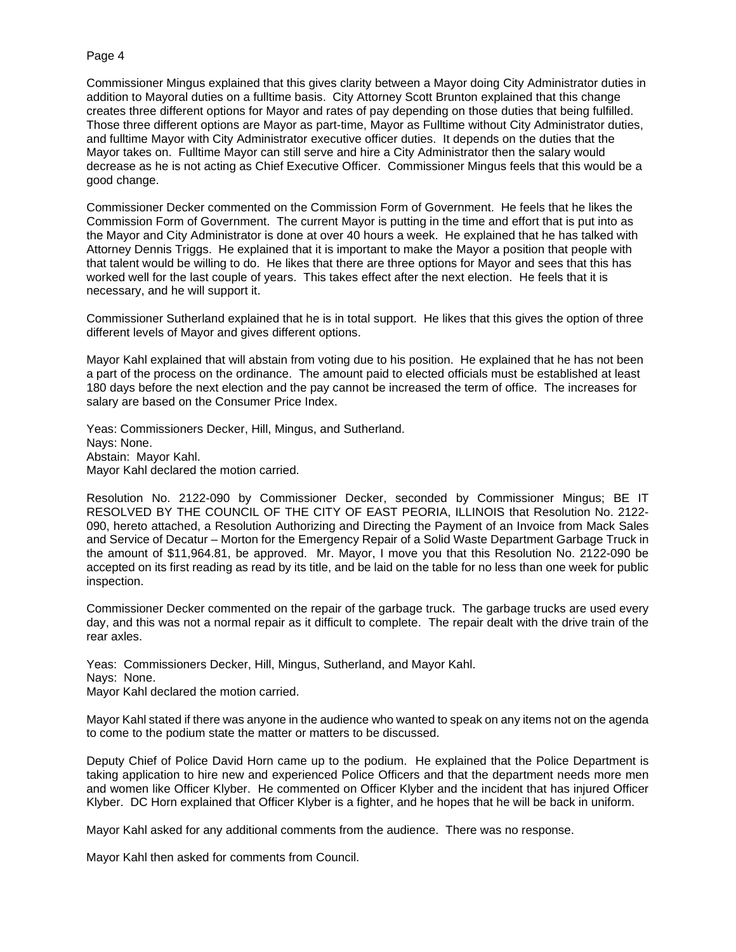### Page 4

Commissioner Mingus explained that this gives clarity between a Mayor doing City Administrator duties in addition to Mayoral duties on a fulltime basis. City Attorney Scott Brunton explained that this change creates three different options for Mayor and rates of pay depending on those duties that being fulfilled. Those three different options are Mayor as part-time, Mayor as Fulltime without City Administrator duties, and fulltime Mayor with City Administrator executive officer duties. It depends on the duties that the Mayor takes on. Fulltime Mayor can still serve and hire a City Administrator then the salary would decrease as he is not acting as Chief Executive Officer. Commissioner Mingus feels that this would be a good change.

Commissioner Decker commented on the Commission Form of Government. He feels that he likes the Commission Form of Government. The current Mayor is putting in the time and effort that is put into as the Mayor and City Administrator is done at over 40 hours a week. He explained that he has talked with Attorney Dennis Triggs. He explained that it is important to make the Mayor a position that people with that talent would be willing to do. He likes that there are three options for Mayor and sees that this has worked well for the last couple of years. This takes effect after the next election. He feels that it is necessary, and he will support it.

Commissioner Sutherland explained that he is in total support. He likes that this gives the option of three different levels of Mayor and gives different options.

Mayor Kahl explained that will abstain from voting due to his position. He explained that he has not been a part of the process on the ordinance. The amount paid to elected officials must be established at least 180 days before the next election and the pay cannot be increased the term of office. The increases for salary are based on the Consumer Price Index.

Yeas: Commissioners Decker, Hill, Mingus, and Sutherland. Nays: None. Abstain: Mayor Kahl. Mayor Kahl declared the motion carried.

Resolution No. 2122-090 by Commissioner Decker, seconded by Commissioner Mingus; BE IT RESOLVED BY THE COUNCIL OF THE CITY OF EAST PEORIA, ILLINOIS that Resolution No. 2122- 090, hereto attached, a Resolution Authorizing and Directing the Payment of an Invoice from Mack Sales and Service of Decatur – Morton for the Emergency Repair of a Solid Waste Department Garbage Truck in the amount of \$11,964.81, be approved. Mr. Mayor, I move you that this Resolution No. 2122-090 be accepted on its first reading as read by its title, and be laid on the table for no less than one week for public inspection.

Commissioner Decker commented on the repair of the garbage truck. The garbage trucks are used every day, and this was not a normal repair as it difficult to complete. The repair dealt with the drive train of the rear axles.

Yeas: Commissioners Decker, Hill, Mingus, Sutherland, and Mayor Kahl. Nays: None. Mayor Kahl declared the motion carried.

Mayor Kahl stated if there was anyone in the audience who wanted to speak on any items not on the agenda to come to the podium state the matter or matters to be discussed.

Deputy Chief of Police David Horn came up to the podium. He explained that the Police Department is taking application to hire new and experienced Police Officers and that the department needs more men and women like Officer Klyber. He commented on Officer Klyber and the incident that has injured Officer Klyber. DC Horn explained that Officer Klyber is a fighter, and he hopes that he will be back in uniform.

Mayor Kahl asked for any additional comments from the audience. There was no response.

Mayor Kahl then asked for comments from Council.